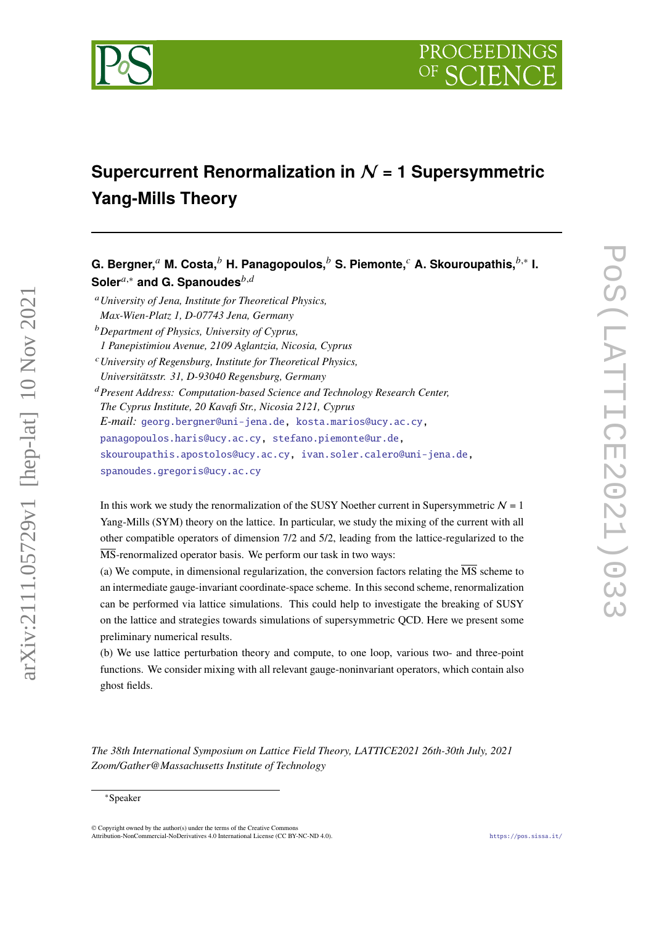

# **Supercurrent Renormalization in** N **= 1 Supersymmetric Yang-Mills Theory**

 $\mathbf G$ . Bergner, $^a$  M. Costa, $^b$  H. Panagopoulos, $^b$  S. Piemonte, $^c$  A. Skouroupathis, $^{b, *}$  I. Soler<sup>*a*,∗</sup> and G. Spanoudes<sup>*b,d*</sup>

*University of Jena, Institute for Theoretical Physics, Max-Wien-Platz 1, D-07743 Jena, Germany*

*Department of Physics, University of Cyprus,*

*1 Panepistimiou Avenue, 2109 Aglantzia, Nicosia, Cyprus*

*University of Regensburg, Institute for Theoretical Physics, Universitätsstr. 31, D-93040 Regensburg, Germany*

*Present Address: Computation-based Science and Technology Research Center, The Cyprus Institute, 20 Kavafi Str., Nicosia 2121, Cyprus E-mail:* [georg.bergner@uni-jena.de,](mailto:georg.bergner@uni-jena.de) [kosta.marios@ucy.ac.cy,](mailto:kosta.marios@ucy.ac.cy) [panagopoulos.haris@ucy.ac.cy,](mailto:panagopoulos.haris@ucy.ac.cy) [stefano.piemonte@ur.de,](mailto:stefano.piemonte@ur.de) [skouroupathis.apostolos@ucy.ac.cy,](mailto:skouroupathis.apostolos@ucy.ac.cy) [ivan.soler.calero@uni-jena.de,](mailto:ivan.soler.calero@uni-jena.de) [spanoudes.gregoris@ucy.ac.cy](mailto:spanoudes.gregoris@ucy.ac.cy)

In this work we study the renormalization of the SUSY Noether current in Supersymmetric  $N = 1$ Yang-Mills (SYM) theory on the lattice. In particular, we study the mixing of the current with all other compatible operators of dimension 7/2 and 5/2, leading from the lattice-regularized to the  $\overline{\text{MS}}$ -renormalized operator basis. We perform our task in two ways:

(a) We compute, in dimensional regularization, the conversion factors relating the  $\overline{\text{MS}}$  scheme to an intermediate gauge-invariant coordinate-space scheme. In this second scheme, renormalization can be performed via lattice simulations. This could help to investigate the breaking of SUSY on the lattice and strategies towards simulations of supersymmetric QCD. Here we present some preliminary numerical results.

(b) We use lattice perturbation theory and compute, to one loop, various two- and three-point functions. We consider mixing with all relevant gauge-noninvariant operators, which contain also ghost fields.

*The 38th International Symposium on Lattice Field Theory, LATTICE2021 26th-30th July, 2021 Zoom/Gather@Massachusetts Institute of Technology*

arXiv:2111.05729v1 [hep-lat] 10 Nov 2021

 $arXiv:2111.05729v1$  [hep-lat] 10 Nov 2021

<sup>∗</sup>Speaker

<sup>©</sup> Copyright owned by the author(s) under the terms of the Creative Commons Attribution-NonCommercial-NoDerivatives 4.0 International License (CC BY-NC-ND 4.0). <https://pos.sissa.it/>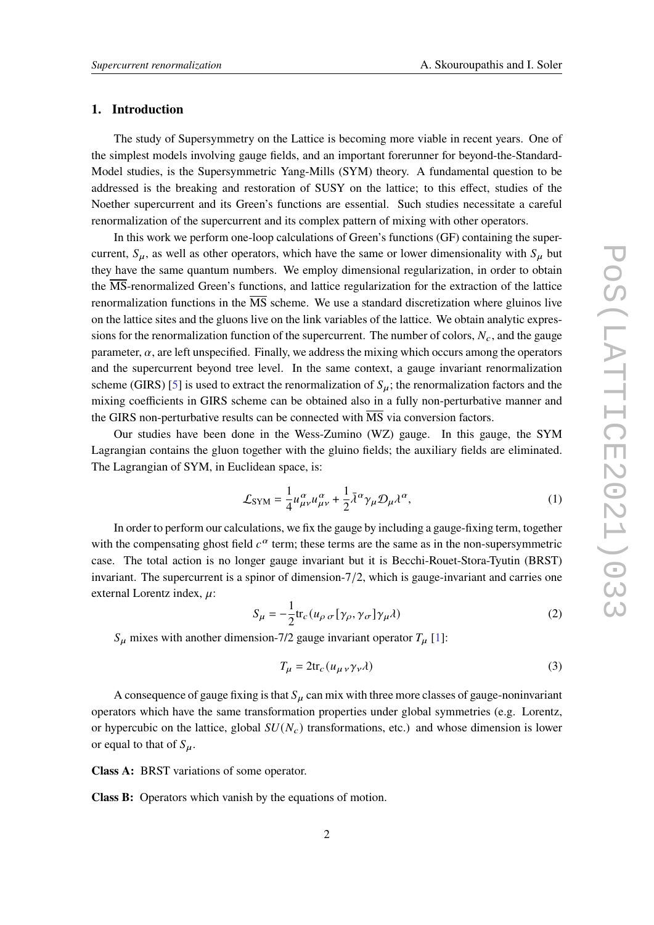#### **1. Introduction**

The study of Supersymmetry on the Lattice is becoming more viable in recent years. One of the simplest models involving gauge fields, and an important forerunner for beyond-the-Standard-Model studies, is the Supersymmetric Yang-Mills (SYM) theory. A fundamental question to be addressed is the breaking and restoration of SUSY on the lattice; to this effect, studies of the Noether supercurrent and its Green's functions are essential. Such studies necessitate a careful renormalization of the supercurrent and its complex pattern of mixing with other operators.

In this work we perform one-loop calculations of Green's functions (GF) containing the supercurrent,  $S_{\mu}$ , as well as other operators, which have the same or lower dimensionality with  $S_{\mu}$  but they have the same quantum numbers. We employ dimensional regularization, in order to obtain the MS-renormalized Green's functions, and lattice regularization for the extraction of the lattice renormalization functions in the  $\overline{MS}$  scheme. We use a standard discretization where gluinos live on the lattice sites and the gluons live on the link variables of the lattice. We obtain analytic expressions for the renormalization function of the supercurrent. The number of colors,  $N_c$ , and the gauge parameter,  $\alpha$ , are left unspecified. Finally, we address the mixing which occurs among the operators and the supercurrent beyond tree level. In the same context, a gauge invariant renormalization scheme (GIRS) [\[5\]](#page-8-0) is used to extract the renormalization of  $S_u$ ; the renormalization factors and the mixing coefficients in GIRS scheme can be obtained also in a fully non-perturbative manner and the GIRS non-perturbative results can be connected with  $\overline{\text{MS}}$  via conversion factors.

Our studies have been done in the Wess-Zumino (WZ) gauge. In this gauge, the SYM Lagrangian contains the gluon together with the gluino fields; the auxiliary fields are eliminated. The Lagrangian of SYM, in Euclidean space, is:

$$
\mathcal{L}_{\text{SYM}} = \frac{1}{4} u_{\mu\nu}^{\alpha} u_{\mu\nu}^{\alpha} + \frac{1}{2} \bar{\lambda}^{\alpha} \gamma_{\mu} \mathcal{D}_{\mu} \lambda^{\alpha}, \tag{1}
$$

In order to perform our calculations, we fix the gauge by including a gauge-fixing term, together with the compensating ghost field  $c^{\alpha}$  term; these terms are the same as in the non-supersymmetric case. The total action is no longer gauge invariant but it is Becchi-Rouet-Stora-Tyutin (BRST) invariant. The supercurrent is a spinor of dimension-7/2, which is gauge-invariant and carries one external Lorentz index,  $\mu$ :

$$
S_{\mu} = -\frac{1}{2} \text{tr}_{c} \left( u_{\rho \sigma} \left[ \gamma_{\rho}, \gamma_{\sigma} \right] \gamma_{\mu} \lambda \right)
$$
 (2)

 $S_{\mu}$  mixes with another dimension-7/2 gauge invariant operator  $T_{\mu}$  [\[1\]](#page-8-1):

$$
T_{\mu} = 2 \text{tr}_c (u_{\mu\nu} \gamma_{\nu} \lambda) \tag{3}
$$

A consequence of gauge fixing is that  $S_{\mu}$  can mix with three more classes of gauge-noninvariant operators which have the same transformation properties under global symmetries (e.g. Lorentz, or hypercubic on the lattice, global  $SU(N_c)$  transformations, etc.) and whose dimension is lower or equal to that of  $S_u$ .

**Class A:** BRST variations of some operator.

**Class B:** Operators which vanish by the equations of motion.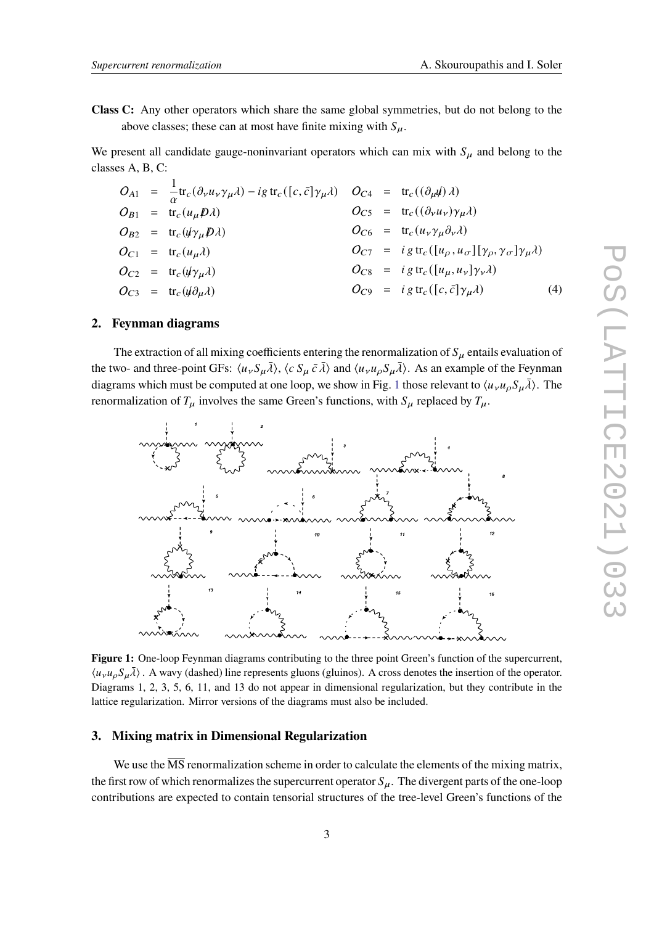**Class C:** Any other operators which share the same global symmetries, but do not belong to the above classes; these can at most have finite mixing with  $S_{\mu}$ .

We present all candidate gauge-noninvariant operators which can mix with  $S_{\mu}$  and belong to the classes A, B, C:

$$
O_{A1} = \frac{1}{\alpha} \text{tr}_{c}(\partial_{\nu} u_{\nu} \gamma_{\mu} \lambda) - ig \text{ tr}_{c}([c, \bar{c}] \gamma_{\mu} \lambda) \qquad O_{C4} = \text{tr}_{c}((\partial_{\mu} \psi) \lambda)
$$
  
\n
$$
O_{B1} = \text{tr}_{c}(u_{\mu} \mathcal{D} \lambda) \qquad O_{C5} = \text{tr}_{c}((\partial_{\nu} u_{\nu}) \gamma_{\mu} \lambda)
$$
  
\n
$$
O_{B2} = \text{tr}_{c}(\psi \gamma_{\mu} \mathcal{D} \lambda) \qquad O_{C6} = \text{tr}_{c}(u_{\nu} \gamma_{\mu} \partial_{\nu} \lambda)
$$
  
\n
$$
O_{C1} = \text{tr}_{c}(u_{\mu} \lambda) \qquad O_{C7} = ig \text{ tr}_{c}([u_{\rho}, u_{\sigma}][\gamma_{\rho}, \gamma_{\sigma}] \gamma_{\mu} \lambda)
$$
  
\n
$$
O_{C2} = \text{tr}_{c}(\psi \gamma_{\mu} \lambda) \qquad O_{C8} = ig \text{ tr}_{c}([u_{\mu}, u_{\nu}] \gamma_{\nu} \lambda)
$$
  
\n
$$
O_{C3} = \text{tr}_{c}(\psi \partial_{\mu} \lambda) \qquad O_{C9} = ig \text{ tr}_{c}([c, \bar{c}] \gamma_{\mu} \lambda) \qquad (4)
$$

#### **2. Feynman diagrams**

The extraction of all mixing coefficients entering the renormalization of  $S_\mu$  entails evaluation of the two- and three-point GFs:  $\langle u_v S_{\mu} \overline{\lambda} \rangle$ ,  $\langle c S_{\mu} \overline{c} \overline{\lambda} \rangle$  and  $\langle u_v u_{\rho} S_{\mu} \overline{\lambda} \rangle$ . As an example of the Feynman diagrams which must be computed at one loop, we show in Fig. [1](#page-2-0) those relevant to  $\langle u_\nu u_\rho S_\mu \bar{\lambda} \rangle$ . The renormalization of  $T_{\mu}$  involves the same Green's functions, with  $S_{\mu}$  replaced by  $T_{\mu}$ .



<span id="page-2-0"></span>**Figure 1:** One-loop Feynman diagrams contributing to the three point Green's function of the supercurrent,  $\langle u_{\nu} u_{\rho} S_{\mu} \bar{\lambda} \rangle$ . A wavy (dashed) line represents gluons (gluinos). A cross denotes the insertion of the operator. Diagrams 1, 2, 3, 5, 6, 11, and 13 do not appear in dimensional regularization, but they contribute in the lattice regularization. Mirror versions of the diagrams must also be included.

## **3. Mixing matrix in Dimensional Regularization**

We use the  $\overline{\text{MS}}$  renormalization scheme in order to calculate the elements of the mixing matrix, the first row of which renormalizes the supercurrent operator  $S_{\mu}$ . The divergent parts of the one-loop contributions are expected to contain tensorial structures of the tree-level Green's functions of the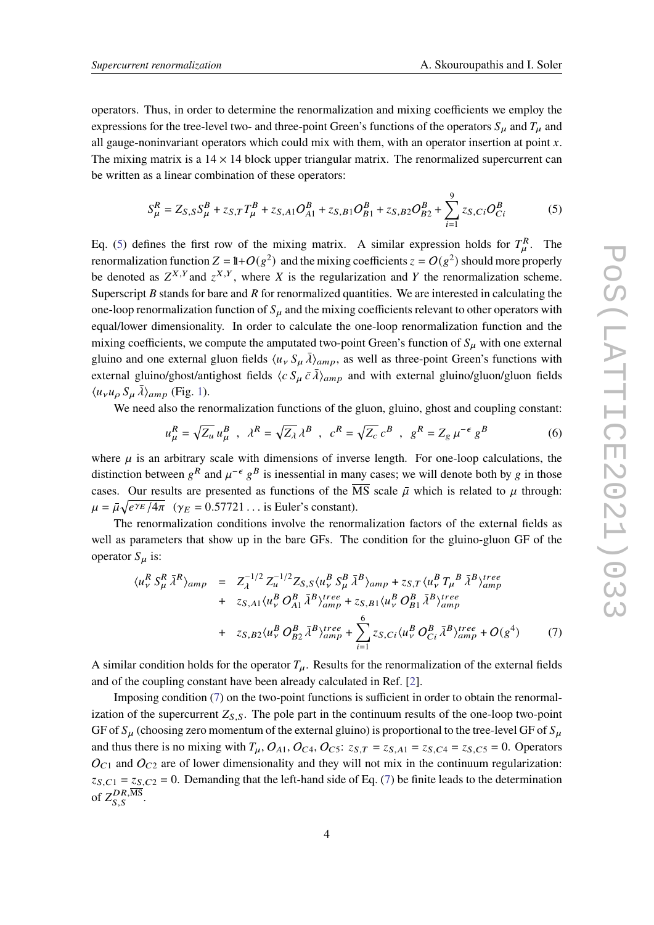operators. Thus, in order to determine the renormalization and mixing coefficients we employ the expressions for the tree-level two- and three-point Green's functions of the operators  $S_{\mu}$  and  $T_{\mu}$  and all gauge-noninvariant operators which could mix with them, with an operator insertion at point  $x$ . The mixing matrix is a  $14 \times 14$  block upper triangular matrix. The renormalized supercurrent can be written as a linear combination of these operators:

<span id="page-3-0"></span>
$$
S_{\mu}^{R} = Z_{S,S}S_{\mu}^{B} + z_{S,T}T_{\mu}^{B} + z_{S,A1}O_{A1}^{B} + z_{S,B1}O_{B1}^{B} + z_{S,B2}O_{B2}^{B} + \sum_{i=1}^{9} z_{S,Ci}O_{Ci}^{B}
$$
(5)

Eq. [\(5\)](#page-3-0) defines the first row of the mixing matrix. A similar expression holds for  $T_a^R$ . The renormalization function  $Z = 1 + O(g^2)$  and the mixing coefficients  $z = O(g^2)$  should more properly be denoted as  $Z^{X,Y}$  and  $z^{X,Y}$ , where X is the regularization and Y the renormalization scheme. Superscript  $B$  stands for bare and  $R$  for renormalized quantities. We are interested in calculating the one-loop renormalization function of  $S_u$  and the mixing coefficients relevant to other operators with equal/lower dimensionality. In order to calculate the one-loop renormalization function and the mixing coefficients, we compute the amputated two-point Green's function of  $S_u$  with one external gluino and one external gluon fields  $\langle u_v S_{\mu} \bar{\lambda} \rangle_{amp}$ , as well as three-point Green's functions with external gluino/ghost/antighost fields  $\langle c S_\mu \bar{c} \lambda \rangle_{amp}$  and with external gluino/gluon/gluon fields  $\langle u_{\nu} u_{\rho} S_{\mu} \bar{\lambda} \rangle_{amp}$  (Fig. [1\)](#page-2-0).

We need also the renormalization functions of the gluon, gluino, ghost and coupling constant:

$$
u_{\mu}^{R} = \sqrt{Z_{\mu}} u_{\mu}^{B} , \quad \lambda^{R} = \sqrt{Z_{\lambda}} \lambda^{B} , \quad c^{R} = \sqrt{Z_{c}} c^{B} , \quad g^{R} = Z_{g} \mu^{-\epsilon} g^{B}
$$
 (6)

where  $\mu$  is an arbitrary scale with dimensions of inverse length. For one-loop calculations, the distinction between  $g^R$  and  $\mu^{-\epsilon} g^B$  is inessential in many cases; we will denote both by g in those cases. Our results are presented as functions of the  $\overline{\text{MS}}$  scale  $\overline{\mu}$  which is related to  $\mu$  through:  $\mu = \bar{\mu} \sqrt{e^{\gamma_E}/4\pi}$  ( $\gamma_E = 0.57721...$  is Euler's constant).

The renormalization conditions involve the renormalization factors of the external fields as well as parameters that show up in the bare GFs. The condition for the gluino-gluon GF of the operator  $S_{\mu}$  is:

<span id="page-3-1"></span>
$$
\langle u_{\nu}^{R} S_{\mu}^{R} \bar{\lambda}^{R} \rangle_{amp} = Z_{\lambda}^{-1/2} Z_{u}^{-1/2} Z_{S,S} \langle u_{\nu}^{B} S_{\mu}^{B} \bar{\lambda}^{B} \rangle_{amp} + z_{S,T} \langle u_{\nu}^{B} T_{\mu}^{B} \bar{\lambda}^{B} \rangle_{amp}^{tree} + z_{S,A1} \langle u_{\nu}^{B} O_{A1}^{B} \bar{\lambda}^{B} \rangle_{amp}^{tree} + z_{S,B1} \langle u_{\nu}^{B} O_{B1}^{B} \bar{\lambda}^{B} \rangle_{amp}^{tree} + z_{S,B2} \langle u_{\nu}^{B} O_{B2}^{B} \bar{\lambda}^{B} \rangle_{amp}^{tree} + \sum_{i=1}^{6} z_{S,Ci} \langle u_{\nu}^{B} O_{Ci}^{B} \bar{\lambda}^{B} \rangle_{amp}^{tree} + O(g^{4}) \tag{7}
$$

A similar condition holds for the operator  $T_{\mu}$ . Results for the renormalization of the external fields and of the coupling constant have been already calculated in Ref. [\[2\]](#page-8-2).

Imposing condition [\(7\)](#page-3-1) on the two-point functions is sufficient in order to obtain the renormalization of the supercurrent  $Z_{S,S}$ . The pole part in the continuum results of the one-loop two-point GF of  $S_{\mu}$  (choosing zero momentum of the external gluino) is proportional to the tree-level GF of  $S_{\mu}$ and thus there is no mixing with  $T_{\mu}$ ,  $O_{A1}$ ,  $O_{C4}$ ,  $O_{C5}$ :  $z_{S,T} = z_{S,A1} = z_{S,C4} = z_{S,C5} = 0$ . Operators  $O_{C1}$  and  $O_{C2}$  are of lower dimensionality and they will not mix in the continuum regularization:  $z_{S,C1} = z_{S,C2} = 0$ . Demanding that the left-hand side of Eq. [\(7\)](#page-3-1) be finite leads to the determination of  $Z_{S.S}^{DR,\overline{\rm MS}}$ .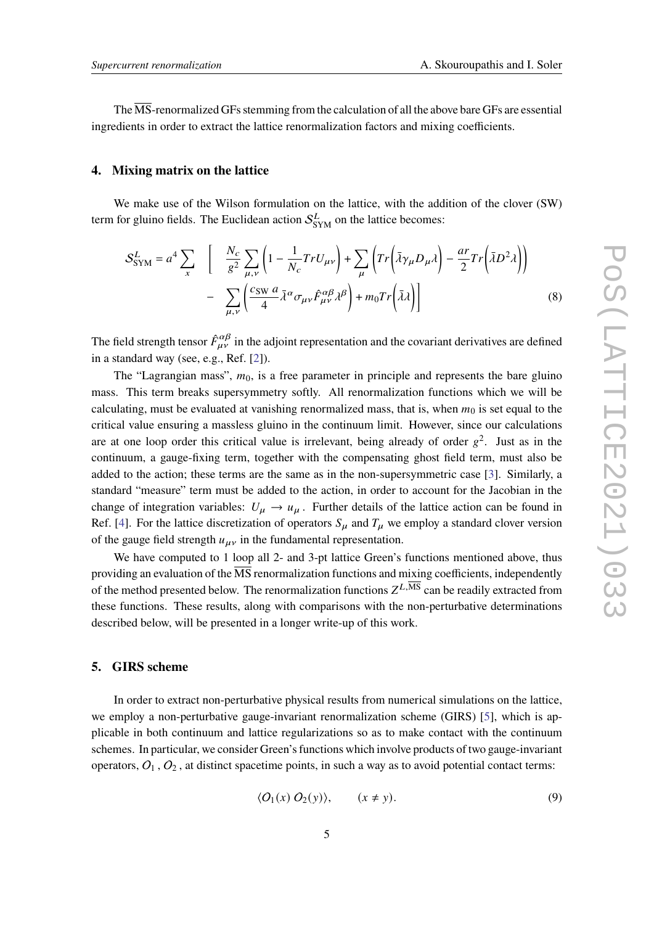The  $\overline{\text{MS}}$ -renormalized GFs stemming from the calculation of all the above bare GFs are essential ingredients in order to extract the lattice renormalization factors and mixing coefficients.

#### **4. Mixing matrix on the lattice**

We make use of the Wilson formulation on the lattice, with the addition of the clover (SW) term for gluino fields. The Euclidean action  $S_{\text{SYM}}^L$  on the lattice becomes:

<span id="page-4-0"></span>
$$
S_{\text{SYM}}^{L} = a^{4} \sum_{x} \left[ \frac{N_{c}}{g^{2}} \sum_{\mu,\nu} \left( 1 - \frac{1}{N_{c}} Tr U_{\mu\nu} \right) + \sum_{\mu} \left( Tr \left( \bar{\lambda} \gamma_{\mu} D_{\mu} \lambda \right) - \frac{ar}{2} Tr \left( \bar{\lambda} D^{2} \lambda \right) \right) - \sum_{\mu,\nu} \left( \frac{c_{\text{SW}} a}{4} \bar{\lambda}^{\alpha} \sigma_{\mu\nu} \hat{F}_{\mu\nu}^{\alpha\beta} \lambda^{\beta} \right) + m_{0} Tr \left( \bar{\lambda} \lambda \right) \right] \tag{8}
$$

The field strength tensor  $\hat{F}^{\alpha\beta}_{\mu\nu}$  in the adjoint representation and the covariant derivatives are defined in a standard way (see, e.g., Ref. [\[2\]](#page-8-2)).

The "Lagrangian mass",  $m_0$ , is a free parameter in principle and represents the bare gluino mass. This term breaks supersymmetry softly. All renormalization functions which we will be calculating, must be evaluated at vanishing renormalized mass, that is, when  $m_0$  is set equal to the critical value ensuring a massless gluino in the continuum limit. However, since our calculations are at one loop order this critical value is irrelevant, being already of order  $g^2$ . Just as in the continuum, a gauge-fixing term, together with the compensating ghost field term, must also be added to the action; these terms are the same as in the non-supersymmetric case [\[3\]](#page-8-3). Similarly, a standard "measure" term must be added to the action, in order to account for the Jacobian in the change of integration variables:  $U_{\mu} \rightarrow u_{\mu}$ . Further details of the lattice action can be found in Ref. [\[4\]](#page-8-4). For the lattice discretization of operators  $S_{\mu}$  and  $T_{\mu}$  we employ a standard clover version of the gauge field strength  $u_{\mu\nu}$  in the fundamental representation.

We have computed to 1 loop all 2- and 3-pt lattice Green's functions mentioned above, thus providing an evaluation of the  $\overline{\text{MS}}$  renormalization functions and mixing coefficients, independently of the method presented below. The renormalization functions  $Z^{L,\overline{\text{MS}}}$  can be readily extracted from these functions. These results, along with comparisons with the non-perturbative determinations described below, will be presented in a longer write-up of this work.

# **5. GIRS scheme**

In order to extract non-perturbative physical results from numerical simulations on the lattice, we employ a non-perturbative gauge-invariant renormalization scheme (GIRS) [\[5\]](#page-8-0), which is applicable in both continuum and lattice regularizations so as to make contact with the continuum schemes. In particular, we consider Green's functions which involve products of two gauge-invariant operators,  $O_1$ ,  $O_2$ , at distinct spacetime points, in such a way as to avoid potential contact terms:

$$
\langle O_1(x) O_2(y) \rangle, \qquad (x \neq y). \tag{9}
$$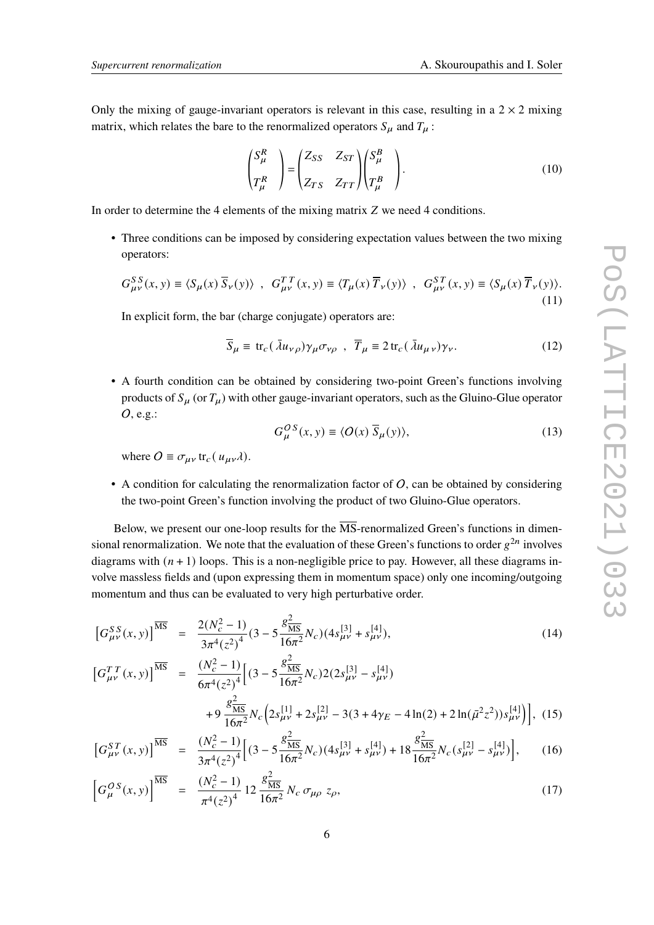Only the mixing of gauge-invariant operators is relevant in this case, resulting in a  $2 \times 2$  mixing matrix, which relates the bare to the renormalized operators  $S_{\mu}$  and  $T_{\mu}$ :

$$
\begin{pmatrix} S_{\mu}^{R} \\ T_{\mu}^{R} \end{pmatrix} = \begin{pmatrix} Z_{SS} & Z_{ST} \\ Z_{TS} & Z_{TT} \end{pmatrix} \begin{pmatrix} S_{\mu}^{B} \\ T_{\mu}^{B} \end{pmatrix}.
$$
 (10)

In order to determine the 4 elements of the mixing matrix  $Z$  we need 4 conditions.

• Three conditions can be imposed by considering expectation values between the two mixing operators:

$$
G_{\mu\nu}^{SS}(x, y) \equiv \langle S_{\mu}(x) \overline{S}_{\nu}(y) \rangle , G_{\mu\nu}^{TT}(x, y) \equiv \langle T_{\mu}(x) \overline{T}_{\nu}(y) \rangle , G_{\mu\nu}^{ST}(x, y) \equiv \langle S_{\mu}(x) \overline{T}_{\nu}(y) \rangle.
$$
\n(11)

In explicit form, the bar (charge conjugate) operators are:

<span id="page-5-1"></span>
$$
\overline{S}_{\mu} \equiv \text{tr}_c(\bar{\lambda}u_{\nu\rho})\gamma_{\mu}\sigma_{\nu\rho} , \ \overline{T}_{\mu} \equiv 2 \text{tr}_c(\bar{\lambda}u_{\mu\nu})\gamma_{\nu}.
$$
 (12)

• A fourth condition can be obtained by considering two-point Green's functions involving products of  $S_{\mu}$  (or  $T_{\mu}$ ) with other gauge-invariant operators, such as the Gluino-Glue operator  $O$ , e.g.:

$$
G_{\mu}^{OS}(x, y) \equiv \langle O(x) \overline{S}_{\mu}(y) \rangle, \tag{13}
$$

where  $O = \sigma_{\mu\nu}$  tr<sub>c</sub>( $u_{\mu\nu}$  $\lambda$ ).

• A condition for calculating the renormalization factor of  $O$ , can be obtained by considering the two-point Green's function involving the product of two Gluino-Glue operators.

Below, we present our one-loop results for the  $\overline{\text{MS}}$ -renormalized Green's functions in dimensional renormalization. We note that the evaluation of these Green's functions to order  $g^{2n}$  involves diagrams with  $(n + 1)$  loops. This is a non-negligible price to pay. However, all these diagrams involve massless fields and (upon expressing them in momentum space) only one incoming/outgoing momentum and thus can be evaluated to very high perturbative order.

<span id="page-5-0"></span>
$$
\left[G_{\mu\nu}^{SS}(x,y)\right]^{\overline{\text{MS}}} = \frac{2(N_c^2 - 1)}{3\pi^4(z^2)^4} (3 - 5\frac{g_{\overline{\text{MS}}}}{16\pi^2}N_c)(4s_{\mu\nu}^{[3]} + s_{\mu\nu}^{[4]}),\tag{14}
$$

$$
\begin{aligned}\n\left[G_{\mu\nu}^{TT}(x,y)\right]^{\overline{\text{MS}}} &= \frac{(N_c^2 - 1)}{6\pi^4 (z^2)^4} \Big[ (3 - 5\frac{g_{\overline{\text{MS}}}}{16\pi^2} N_c) 2(2s_{\mu\nu}^{[3]} - s_{\mu\nu}^{[4]}) \\
&\quad + 9 \frac{g_{\overline{\text{MS}}}}{16\pi^2} N_c \Big( 2s_{\mu\nu}^{[1]} + 2s_{\mu\nu}^{[2]} - 3(3 + 4\gamma_E - 4\ln(2) + 2\ln(\bar{\mu}^2 z^2)) s_{\mu\nu}^{[4]} \Big) \Big],\n\end{aligned} \tag{15}
$$

$$
\left[G_{\mu\nu}^{ST}(x,y)\right]^{\overline{\rm MS}} = \frac{(N_c^2 - 1)}{3\pi^4 (z^2)^4} \Big[ (3 - 5\frac{g_{\overline{\rm MS}}^2}{16\pi^2} N_c) (4s_{\mu\nu}^{[3]} + s_{\mu\nu}^{[4]}) + 18\frac{g_{\overline{\rm MS}}^2}{16\pi^2} N_c (s_{\mu\nu}^{[2]} - s_{\mu\nu}^{[4]}) \Big],\tag{16}
$$

$$
\left[G_{\mu}^{OS}(x,y)\right]^{\overline{\text{MS}}} = \frac{(N_c^2 - 1)}{\pi^4 (z^2)^4} 12 \frac{g_{\overline{\text{MS}}}}{16\pi^2} N_c \,\sigma_{\mu\rho} \,z_{\rho},\tag{17}
$$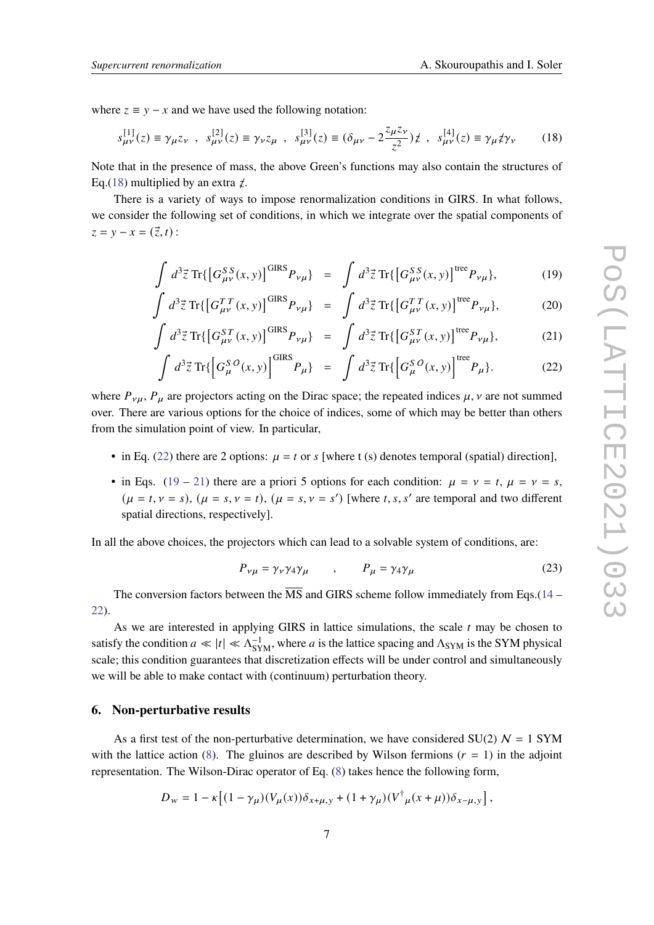where  $z \equiv y - x$  and we have used the following notation:

<span id="page-6-0"></span>
$$
s_{\mu\nu}^{[1]}(z) \equiv \gamma_{\mu} z_{\nu} , \quad s_{\mu\nu}^{[2]}(z) \equiv \gamma_{\nu} z_{\mu} , \quad s_{\mu\nu}^{[3]}(z) \equiv (\delta_{\mu\nu} - 2\frac{z_{\mu} z_{\nu}}{z^2}) \, \dot{z} , \quad s_{\mu\nu}^{[4]}(z) \equiv \gamma_{\mu} \dot{z} \gamma_{\nu} \tag{18}
$$

Note that in the presence of mass, the above Green's functions may also contain the structures of Eq.[\(18\)](#page-6-0) multiplied by an extra  $\chi$ .

There is a variety of ways to impose renormalization conditions in GIRS. In what follows, we consider the following set of conditions, in which we integrate over the spatial components of  $z = y - x = (\vec{z}, t)$ :

<span id="page-6-1"></span>
$$
\int d^3 \vec{z} \operatorname{Tr} \{ \left[ G_{\mu\nu}^{SS}(x, y) \right]^{GIRS} P_{\nu\mu} \} = \int d^3 \vec{z} \operatorname{Tr} \{ \left[ G_{\mu\nu}^{SS}(x, y) \right]^{tree} P_{\nu\mu} \}, \tag{19}
$$

$$
\int d^3 \vec{z} \,\text{Tr}\{ \left[ G_{\mu\nu}^{TT}(x, y) \right]^{GIRS} P_{\nu\mu} \} = \int d^3 \vec{z} \,\text{Tr}\{ \left[ G_{\mu\nu}^{TT}(x, y) \right]^{tree} P_{\nu\mu} \}, \tag{20}
$$

$$
\int d^3 \vec{z} \,\text{Tr}\{ \left[ G_{\mu\nu}^{ST}(x, y) \right]^{GIRS} P_{\nu\mu} \} = \int d^3 \vec{z} \,\text{Tr}\{ \left[ G_{\mu\nu}^{ST}(x, y) \right]^{tree} P_{\nu\mu} \},\tag{21}
$$

$$
\int d^3 \vec{z} \operatorname{Tr} \{ \left[ G_{\mu}^{SO}(x, y) \right]^{GIRS} P_{\mu} \} = \int d^3 \vec{z} \operatorname{Tr} \{ \left[ G_{\mu}^{SO}(x, y) \right]^{tree} P_{\mu} \}. \tag{22}
$$

where  $P_{\nu\mu}$ ,  $P_{\mu}$  are projectors acting on the Dirac space; the repeated indices  $\mu$ ,  $\nu$  are not summed over. There are various options for the choice of indices, some of which may be better than others from the simulation point of view. In particular,

- in Eq. [\(22\)](#page-6-1) there are 2 options:  $\mu = t$  or *s* [where t (s) denotes temporal (spatial) direction],
- in Eqs. [\(19](#page-6-1) [21\)](#page-6-1) there are a priori 5 options for each condition:  $\mu = v = t$ ,  $\mu = v = s$ ,  $(\mu = t, \nu = s), (\mu = s, \nu = t), (\mu = s, \nu = s')$  [where t, s, s' are temporal and two different spatial directions, respectively].

In all the above choices, the projectors which can lead to a solvable system of conditions, are:

$$
P_{\nu\mu} = \gamma_{\nu}\gamma_4\gamma_{\mu} \qquad , \qquad P_{\mu} = \gamma_4\gamma_{\mu} \tag{23}
$$

The conversion factors between the  $\overline{\text{MS}}$  and GIRS scheme follow immediately from Eqs.[\(14](#page-5-0) – [22\)](#page-6-1).

As we are interested in applying GIRS in lattice simulations, the scale  $t$  may be chosen to satisfy the condition  $a \ll |t| \ll \Lambda_{\text{SYM}}^{-1}$ , where a is the lattice spacing and  $\Lambda_{\text{SYM}}$  is the SYM physical scale; this condition guarantees that discretization effects will be under control and simultaneously we will be able to make contact with (continuum) perturbation theory.

### **6. Non-perturbative results**

As a first test of the non-perturbative determination, we have considered SU(2)  $N = 1$  SYM with the lattice action [\(8\)](#page-4-0). The gluinos are described by Wilson fermions  $(r = 1)$  in the adjoint representation. The Wilson-Dirac operator of Eq. [\(8\)](#page-4-0) takes hence the following form,

$$
D_w = 1 - \kappa \left[ (1 - \gamma_\mu)(V_\mu(x)) \delta_{x + \mu, y} + (1 + \gamma_\mu)(V^\dagger{}_\mu(x + \mu)) \delta_{x - \mu, y} \right],
$$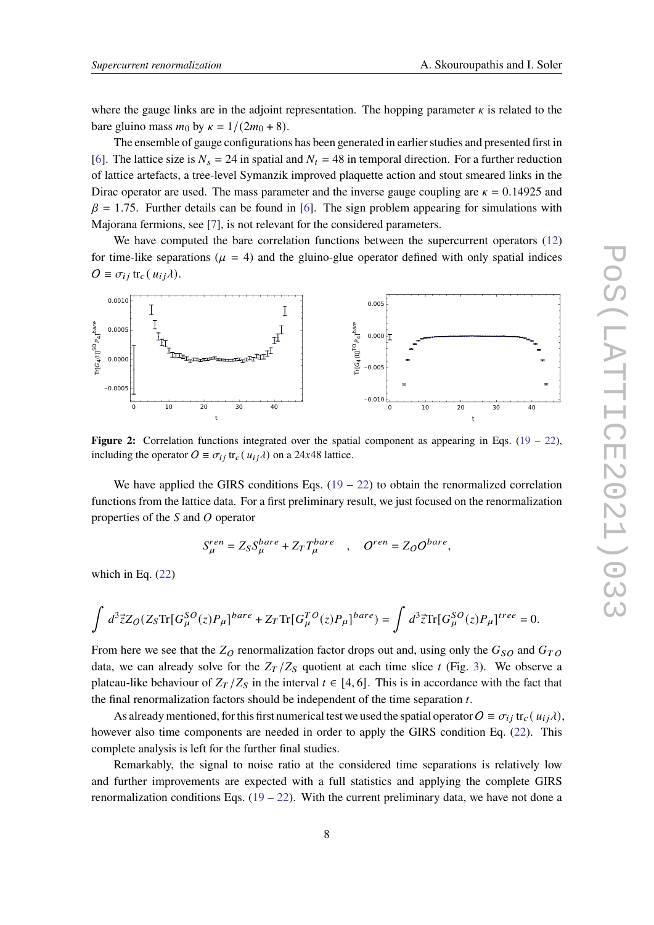where the gauge links are in the adjoint representation. The hopping parameter  $\kappa$  is related to the bare gluino mass  $m_0$  by  $\kappa = 1/(2m_0 + 8)$ .

The ensemble of gauge configurations has been generated in earlier studies and presented first in [\[6\]](#page-8-5). The lattice size is  $N_s = 24$  in spatial and  $N_t = 48$  in temporal direction. For a further reduction of lattice artefacts, a tree-level Symanzik improved plaquette action and stout smeared links in the Dirac operator are used. The mass parameter and the inverse gauge coupling are  $\kappa = 0.14925$  and  $\beta = 1.75$ . Further details can be found in [\[6\]](#page-8-5). The sign problem appearing for simulations with Majorana fermions, see [\[7\]](#page-8-6), is not relevant for the considered parameters.

We have computed the bare correlation functions between the supercurrent operators [\(12\)](#page-5-1) for time-like separations ( $\mu = 4$ ) and the gluino-glue operator defined with only spatial indices  $O \equiv \sigma_{ij}$  tr<sub>c</sub>( $u_{ij}$  $\lambda$ ).



**Figure 2:** Correlation functions integrated over the spatial component as appearing in Eqs. [\(19](#page-6-1) – [22\)](#page-6-1), including the operator  $O \equiv \sigma_{ij} \text{ tr}_c(u_{ij} \lambda)$  on a 24x48 lattice.

We have applied the GIRS conditions Eqs.  $(19 - 22)$  $(19 - 22)$  $(19 - 22)$  to obtain the renormalized correlation functions from the lattice data. For a first preliminary result, we just focused on the renormalization properties of the  $S$  and  $O$  operator

$$
S_{\mu}^{ren} = Z_S S_{\mu}^{bare} + Z_T T_{\mu}^{bare} \quad , \quad O^{ren} = Z_O O^{bare},
$$

which in Eq. [\(22\)](#page-6-1)

$$
\int~d^3\vec{z}Z_O(Z_S\text{Tr}[G^{SO}_\mu(z)P_\mu]^{bare}+Z_T\text{Tr}[G^{TO}_\mu(z)P_\mu]^{bare})=\int~d^3\vec{z}\text{Tr}[G^{SO}_\mu(z)P_\mu]^{tree}=0.
$$

From here we see that the  $Z_O$  renormalization factor drops out and, using only the  $G_{SO}$  and  $G_{TO}$ data, we can already solve for the  $Z_T/Z_S$  quotient at each time slice t (Fig. [3\)](#page-8-7). We observe a plateau-like behaviour of  $Z_T/Z_S$  in the interval  $t \in [4, 6]$ . This is in accordance with the fact that the final renormalization factors should be independent of the time separation  $t$ .

As already mentioned, for this first numerical test we used the spatial operator  $O \equiv \sigma_{ij}$  tr<sub>c</sub>( $u_{ij}$  $\lambda$ ), however also time components are needed in order to apply the GIRS condition Eq. [\(22\)](#page-6-1). This complete analysis is left for the further final studies.

Remarkably, the signal to noise ratio at the considered time separations is relatively low and further improvements are expected with a full statistics and applying the complete GIRS renormalization conditions Eqs.  $(19 - 22)$  $(19 - 22)$  $(19 - 22)$ . With the current preliminary data, we have not done a